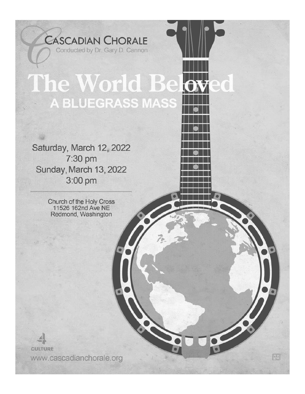The World Bek **A BLUEGRASS MASS** 

**CASCADIAN CHORALE** 

Conducted by Dr. Gary D. Cannon

Saturday, March 12, 2022 7:30 pm Sunday, March 13, 2022 3:00 pm

> Church of the Holy Cross 11526 162nd Ave NE Redmond, Washington

**CULTURE** www.cascadianchorale.org

**NB**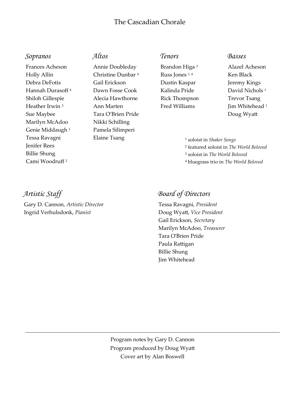# The Cascadian Chorale

### *Sopranos*

Frances Acheson Holly Allin Debra DeFotis Hannah Durasoff <sup>4</sup> Shiloh Gillespie Heather Irwin <sup>3</sup> Sue Maybee Marilyn McAdoo Genie Middaugh <sup>1</sup> Tessa Ravagni Jenifer Rees Billie Shung Cami Woodruff <sup>2</sup>

# *Altos*

Annie Doubleday Christine Dunbar <sup>4</sup> Gail Erickson Dawn Fosse Cook Alecia Hawthorne Ann Marten Tara O'Brien Pride Nikki Schilling Pamela Silimperi Elaine Tsang

# *Tenors*

Brandon Higa <sup>3</sup> Russ Jones 1, 4 Dustin Kaspar Kalinda Pride Rick Thompson Fred Williams

#### *Basses*

Alazel Acheson Ken Black Jeremy Kings David Nichols<sup>1</sup> Trevor Tsang Jim Whitehead <sup>1</sup> Doug Wyatt

 soloist in *Shaker Songs* featured soloist in *The World Beloved* soloist in *The World Beloved* bluegrass trio in *The World Beloved*

# *Artistic Staff*

Gary D. Cannon, *Artistic Director* Ingrid Verhulsdonk, *Pianist*

# *Board of Directors*

Tessa Ravagni, *President* Doug Wyatt, *Vice President* Gail Erickson, *Secretary* Marilyn McAdoo, *Treasurer* Tara O'Brien Pride Paula Rattigan Billie Shung Jim Whitehead

Program notes by Gary D. Cannon Program produced by Doug Wyatt Cover art by Alan Boswell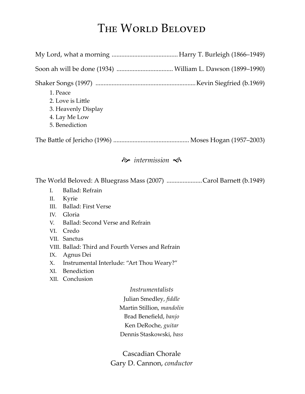# THE WORLD BELOVED

| 1. Peace<br>2. Love is Little<br>3. Heavenly Display<br>4. Lay Me Low<br>5. Benediction                                                                                                                                                                                                                                                                                                                |
|--------------------------------------------------------------------------------------------------------------------------------------------------------------------------------------------------------------------------------------------------------------------------------------------------------------------------------------------------------------------------------------------------------|
|                                                                                                                                                                                                                                                                                                                                                                                                        |
| $\hat{\infty}$ intermission $\hat{\infty}$                                                                                                                                                                                                                                                                                                                                                             |
| The World Beloved: A Bluegrass Mass (2007) Carol Barnett (b.1949)<br>Ballad: Refrain<br>I <sub>r</sub><br>Kyrie<br>II.<br><b>Ballad: First Verse</b><br>III.<br>IV. Gloria<br>Ballad: Second Verse and Refrain<br>V.<br>Credo<br>VI.<br>VII. Sanctus<br>VIII. Ballad: Third and Fourth Verses and Refrain<br>Agnus Dei<br>IX.<br>Instrumental Interlude: "Art Thou Weary?"<br>X.<br>Benediction<br>XI. |
| Conclusion<br>XII.<br>Instrumentalists                                                                                                                                                                                                                                                                                                                                                                 |
| Julian Smedley, fiddle                                                                                                                                                                                                                                                                                                                                                                                 |
| Martin Stillion, mandolin                                                                                                                                                                                                                                                                                                                                                                              |
| Brad Benefield, banjo                                                                                                                                                                                                                                                                                                                                                                                  |
| Ken DeRoche, guitar                                                                                                                                                                                                                                                                                                                                                                                    |
| Dennis Staskowski, bass                                                                                                                                                                                                                                                                                                                                                                                |

Cascadian Chorale Gary D. Cannon, *conductor*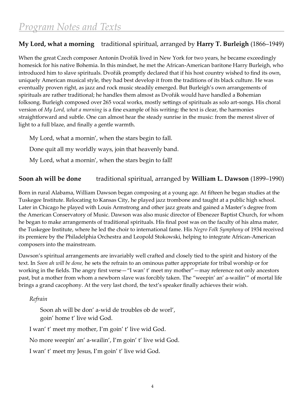# **My Lord, what a morning** traditional spiritual, arranged by **Harry T. Burleigh** (1866–1949)

When the great Czech composer Antonín Dvořák lived in New York for two years, he became exceedingly homesick for his native Bohemia. In this mindset, he met the African-American baritone Harry Burleigh, who introduced him to slave spirituals. Dvořák promptly declared that if his host country wished to find its own, uniquely American musical style, they had best develop it from the traditions of its black culture. He was eventually proven right, as jazz and rock music steadily emerged. But Burleigh's own arrangements of spirituals are rather traditional; he handles them almost as Dvořák would have handled a Bohemian folksong. Burleigh composed over 265 vocal works, mostly settings of spirituals as solo art-songs. His choral version of *My Lord, what a morning* is a fine example of his writing: the text is clear, the harmonies straightforward and subtle. One can almost hear the steady sunrise in the music: from the merest sliver of light to a full blaze, and finally a gentle warmth.

My Lord, what a mornin', when the stars begin to fall. Done quit all my worldly ways, join that heavenly band. My Lord, what a mornin', when the stars begin to fall!

# **Soon ah will be done** traditional spiritual, arranged by **William L. Dawson** (1899–1990)

Born in rural Alabama, William Dawson began composing at a young age. At fifteen he began studies at the Tuskegee Institute. Relocating to Kansas City, he played jazz trombone and taught at a public high school. Later in Chicago he played with Louis Armstrong and other jazz greats and gained a Master's degree from the American Conservatory of Music. Dawson was also music director of Ebenezer Baptist Church, for whom he began to make arrangements of traditional spirituals. His final post was on the faculty of his alma mater, the Tuskegee Institute, where he led the choir to international fame. His *Negro Folk Symphony* of 1934 received its premiere by the Philadelphia Orchestra and Leopold Stokowski, helping to integrate African-American composers into the mainstream.

Dawson's spiritual arrangements are invariably well crafted and closely tied to the spirit and history of the text. In *Soon ah will be done,* he sets the refrain to an ominous patter appropriate for tribal worship or for working in the fields. The angry first verse—"I wan' t' meet my mother"—may reference not only ancestors past, but a mother from whom a newborn slave was forcibly taken. The "weepin' an' a-wailin'" of mortal life brings a grand cacophony. At the very last chord, the text's speaker finally achieves their wish.

# *Refrain*

Soon ah will be don' a-wid de troubles ob de worl', goin' home t' live wid God.

I wan' t' meet my mother, I'm goin' t' live wid God.

No more weepin' an' a-wailin', I'm goin' t' live wid God.

I wan' t' meet my Jesus, I'm goin' t' live wid God.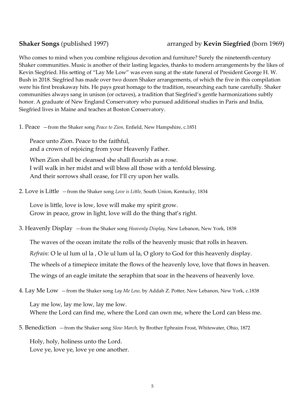# **Shaker Songs** (published 1997) arranged by **Kevin Siegfried** (born 1969)

Who comes to mind when you combine religious devotion and furniture? Surely the nineteenth-century Shaker communities. Music is another of their lasting legacies, thanks to modern arrangements by the likes of Kevin Siegfried. His setting of "Lay Me Low" was even sung at the state funeral of President George H. W. Bush in 2018. Siegfried has made over two dozen Shaker arrangements, of which the five in this compilation were his first breakaway hits. He pays great homage to the tradition, researching each tune carefully. Shaker communities always sang in unison (or octaves), a tradition that Siegfried's gentle harmonizations subtly honor. A graduate of New England Conservatory who pursued additional studies in Paris and India, Siegfried lives in Maine and teaches at Boston Conservatory.

1. Peace —from the Shaker song *Peace to Zion,* Enfield, New Hampshire, c.1851

Peace unto Zion. Peace to the faithful, and a crown of rejoicing from your Heavenly Father.

When Zion shall be cleansed she shall flourish as a rose. I will walk in her midst and will bless all those with a tenfold blessing. And their sorrows shall cease, for I'll cry upon her walls.

2. Love is Little —from the Shaker song *Love is Little,* South Union, Kentucky, 1834

Love is little, love is low, love will make my spirit grow. Grow in peace, grow in light, love will do the thing that's right.

3. Heavenly Display —from the Shaker song *Heavenly Display,* New Lebanon, New York, 1838

The waves of the ocean imitate the rolls of the heavenly music that rolls in heaven. *Refrain:* O le ul lum ul la , O le ul lum ul la, O glory to God for this heavenly display. The wheels of a timepiece imitate the flows of the heavenly love, love that flows in heaven. The wings of an eagle imitate the seraphim that soar in the heavens of heavenly love.

4. Lay Me Low —from the Shaker song *Lay Me Low,* by Addah Z. Potter, New Lebanon, New York, c.1838

Lay me low, lay me low, lay me low. Where the Lord can find me, where the Lord can own me, where the Lord can bless me.

5. Benediction —from the Shaker song *Slow March,* by Brother Ephraim Frost, Whitewater, Ohio, 1872

Holy, holy, holiness unto the Lord. Love ye, love ye, love ye one another.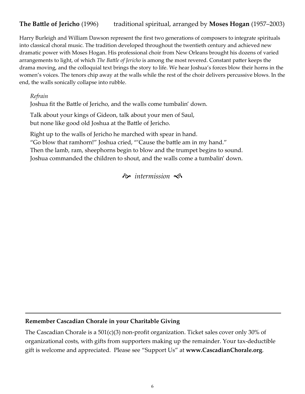# **The Battle of Jericho** (1996) traditional spiritual, arranged by **Moses Hogan** (1957–2003)

Harry Burleigh and William Dawson represent the first two generations of composers to integrate spirituals into classical choral music. The tradition developed throughout the twentieth century and achieved new dramatic power with Moses Hogan. His professional choir from New Orleans brought his dozens of varied arrangements to light, of which *The Battle of Jericho* is among the most revered. Constant patter keeps the drama moving, and the colloquial text brings the story to life. We hear Joshua's forces blow their horns in the women's voices. The tenors chip away at the walls while the rest of the choir delivers percussive blows. In the end, the walls sonically collapse into rubble.

*Refrain*

Joshua fit the Battle of Jericho, and the walls come tumbalin' down.

Talk about your kings of Gideon, talk about your men of Saul, but none like good old Joshua at the Battle of Jericho.

Right up to the walls of Jericho he marched with spear in hand.

"Go blow that ramhorn!" Joshua cried, "'Cause the battle am in my hand."

Then the lamb, ram, sheephorns begin to blow and the trumpet begins to sound. Joshua commanded the children to shout, and the walls come a tumbalin' down.

 $\hat{\infty}$  intermission  $\hat{\infty}$ 

### **Remember Cascadian Chorale in your Charitable Giving**

The Cascadian Chorale is a 501(c)(3) non-profit organization. Ticket sales cover only 30% of organizational costs, with gifts from supporters making up the remainder. Your tax-deductible gift is welcome and appreciated. Please see "Support Us" at **www.CascadianChorale.org**.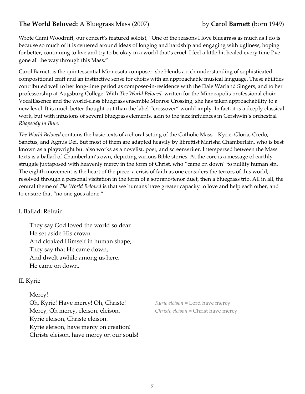# **The World Beloved:** A Bluegrass Mass (2007) by **Carol Barnett** (born 1949)

Wrote Cami Woodruff, our concert's featured soloist, "One of the reasons I love bluegrass as much as I do is because so much of it is centered around ideas of longing and hardship and engaging with ugliness, hoping for better, continuing to live and try to be okay in a world that's cruel. I feel a little bit healed every time I've gone all the way through this Mass."

Carol Barnett is the quintessential Minnesota composer: she blends a rich understanding of sophisticated compositional craft and an instinctive sense for choirs with an approachable musical language. These abilities contributed well to her long-time period as composer-in-residence with the Dale Warland Singers, and to her professorship at Augsburg College. With *The World Beloved,* written for the Minneapolis professional choir VocalEssence and the world-class bluegrass ensemble Monroe Crossing, she has taken approachability to a new level. It is much better thought-out than the label "crossover" would imply. In fact, it is a deeply classical work, but with infusions of several bluegrass elements, akin to the jazz influences in Gershwin's orchestral *Rhapsody in Blue*.

*The World Beloved* contains the basic texts of a choral setting of the Catholic Mass—Kyrie, Gloria, Credo, Sanctus, and Agnus Dei. But most of them are adapted heavily by librettist Marisha Chamberlain, who is best known as a playwright but also works as a novelist, poet, and screenwriter. Interspersed between the Mass texts is a ballad of Chamberlain's own, depicting various Bible stories. At the core is a message of earthly struggle juxtaposed with heavenly mercy in the form of Christ, who "came on down" to nullify human sin. The eighth movement is the heart of the piece: a crisis of faith as one considers the terrors of this world, resolved through a personal visitation in the form of a soprano/tenor duet, then a bluegrass trio. All in all, the central theme of *The World Beloved* is that we humans have greater capacity to love and help each other, and to ensure that "no one goes alone."

# I. Ballad: Refrain

They say God loved the world so dear He set aside His crown And cloaked Himself in human shape; They say that He came down, And dwelt awhile among us here. He came on down.

# II. Kyrie

Mercy! Oh, Kyrie! Have mercy! Oh, Christe! *Kyrie eleison* = Lord have mercy Mercy, Oh mercy, eleison, eleison. *Christe eleison* = Christ have mercy Kyrie eleison, Christe eleison. Kyrie eleison, have mercy on creation! Christe eleison, have mercy on our souls!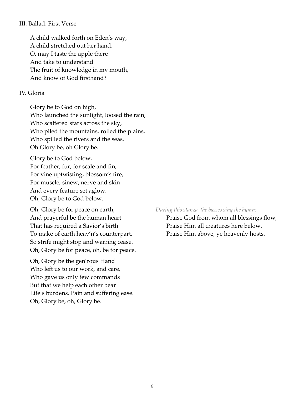#### III. Ballad: First Verse

A child walked forth on Eden's way, A child stretched out her hand. O, may I taste the apple there And take to understand The fruit of knowledge in my mouth, And know of God firsthand?

#### IV. Gloria

Glory be to God on high, Who launched the sunlight, loosed the rain, Who scattered stars across the sky, Who piled the mountains, rolled the plains, Who spilled the rivers and the seas. Oh Glory be, oh Glory be.

Glory be to God below, For feather, fur, for scale and fin, For vine uptwisting, blossom's fire, For muscle, sinew, nerve and skin And every feature set aglow. Oh, Glory be to God below.

Oh, Glory be for peace on earth, *During this stanza, the basses sing the hymn:* That has required a Savior's birth Praise Him all creatures here below. To make of earth heav'n's counterpart, Praise Him above, ye heavenly hosts. So strife might stop and warring cease. Oh, Glory be for peace, oh, be for peace.

Oh, Glory be the gen'rous Hand Who left us to our work, and care, Who gave us only few commands But that we help each other bear Life's burdens. Pain and suffering ease. Oh, Glory be, oh, Glory be.

And prayerful be the human heart Praise God from whom all blessings flow,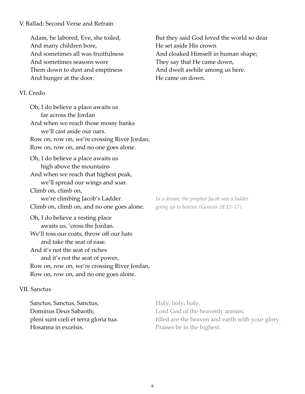#### V. Ballad: Second Verse and Refrain

And many children bore, He set aside His crown And sometimes seasons wore They say that He came down, Them down to dust and emptiness And dwelt awhile among us here. And hunger at the door. The came on down.

#### VI. Credo

Oh, I do believe a place awaits us far across the Jordan And when we reach those mossy banks we'll cast aside our oars. Row on, row on, we're crossing River Jordan, Row on, row on, and no one goes alone. Oh, I do believe a place awaits us high above the mountains And when we reach that highest peak, we'll spread our wings and soar. Climb on, climb on, we're climbing Jacob's Ladder. *In a dream, the prophet Jacob saw a ladder*  Climb on, climb on, and no one goes alone. *going up to heaven (Genesis 28:12–17).* Oh, I do believe a resting place awaits us, 'cross the Jordan. We'll toss our coats, throw off our hats and take the seat of ease. And it's not the seat of riches and it's not the seat of power, Row on, row on, we're crossing River Jordan, Row on, row on, and no one goes alone.

#### VII. Sanctus

| Sanctus, Sanctus, Sanctus,           | Holy, holy, holy,                                |
|--------------------------------------|--------------------------------------------------|
| Dominus Deus Sabaoth;                | Lord God of the heavenly armies;                 |
| pleni sunt cœli et terra gloria tua. | filled are the heaven and earth with your glory. |
| Hosanna in excelsis.                 | Praises be in the highest.                       |

Adam, he labored, Eve, she toiled, But they said God loved the world so dear And sometimes all was fruitfulness And cloaked Himself in human shape;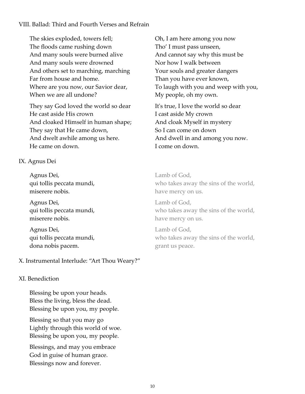## VIII. Ballad: Third and Fourth Verses and Refrain

The skies exploded, towers fell; Oh, I am here among you now The floods came rushing down Tho' I must pass unseen, And many souls were burned alive And cannot say why this must be And many souls were drowned Nor how I walk between And others set to marching, marching **Fig. 2.1 Your souls and greater dangers** Far from house and home. Than you have ever known, When we are all undone? My people, oh my own.

They say God loved the world so dear It's true, I love the world so dear He cast aside His crown I cast aside My crown And cloaked Himself in human shape; And cloak Myself in mystery They say that He came down, So I can come on down And dwelt awhile among us here.  $\qquad \qquad$  And dwell in and among you now. He came on down. I come on down.

# IX. Agnus Dei

Agnus Dei, Lamb of God, miserere nobis. have mercy on us.

Agnus Dei, Lamb of God, miserere nobis. have mercy on us.

Agnus Dei, and Lamb of God, dona nobis pacem.  $\Box$  grant us peace.

# X. Instrumental Interlude: "Art Thou Weary?"

### XI. Benediction

Blessing be upon your heads. Bless the living, bless the dead. Blessing be upon you, my people.

Blessing so that you may go Lightly through this world of woe. Blessing be upon you, my people.

Blessings, and may you embrace God in guise of human grace. Blessings now and forever.

Where are you now, our Savior dear, To laugh with you and weep with you,

qui tollis peccata mundi, who takes away the sins of the world,

qui tollis peccata mundi,  $\mu$  who takes away the sins of the world,

qui tollis peccata mundi, who takes away the sins of the world,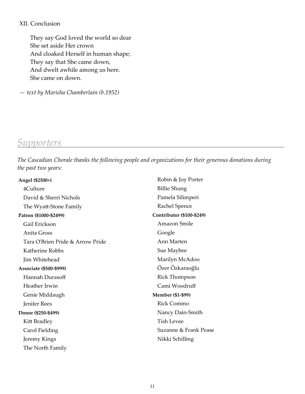#### XII. Conclusion

They say God loved the world so dear She set aside Her crown And cloaked Herself in human shape; They say that She came down, And dwelt awhile among us here. She came on down.

*— text by Marisha Chamberlain (b.1952)*

# *Supporters*

*The Cascadian Chorale thanks the following people and organizations for their generous donations during the past two years:*

| Angel (\$2500+)                  | Robin & Joy Porter        |
|----------------------------------|---------------------------|
| 4Culture                         | <b>Billie Shung</b>       |
| David & Sherri Nichols           | Pamela Silimperi          |
| The Wyatt-Stone Family           | Rachel Spence             |
| Patron (\$1000-\$2499)           | Contributor (\$100-\$249) |
| Gail Erickson                    | Amazon Smile              |
| Anita Gross                      | Google                    |
| Tara O'Brien Pride & Arrow Pride | Ann Marten                |
| Katherine Robbs                  | Sue Maybee                |
| Jim Whitehead                    | Marilyn McAdoo            |
| Associate (\$500-\$999)          | Özer Özkaraoğlu           |
| Hannah Durasoff                  | <b>Rick Thompson</b>      |
| Heather Irwin                    | Cami Woodruff             |
| Genie Middaugh                   | <b>Member (\$1-\$99)</b>  |
| Jenifer Rees                     | <b>Rick Commo</b>         |
| Donor (\$250-\$499)              | Nancy Dain-Smith          |
| Kitt Bradley                     | <b>Tish Levee</b>         |
| Carol Fielding                   | Suzanne & Frank Pease     |
| Jeremy Kings                     | Nikki Schilling           |
| The North Family                 |                           |